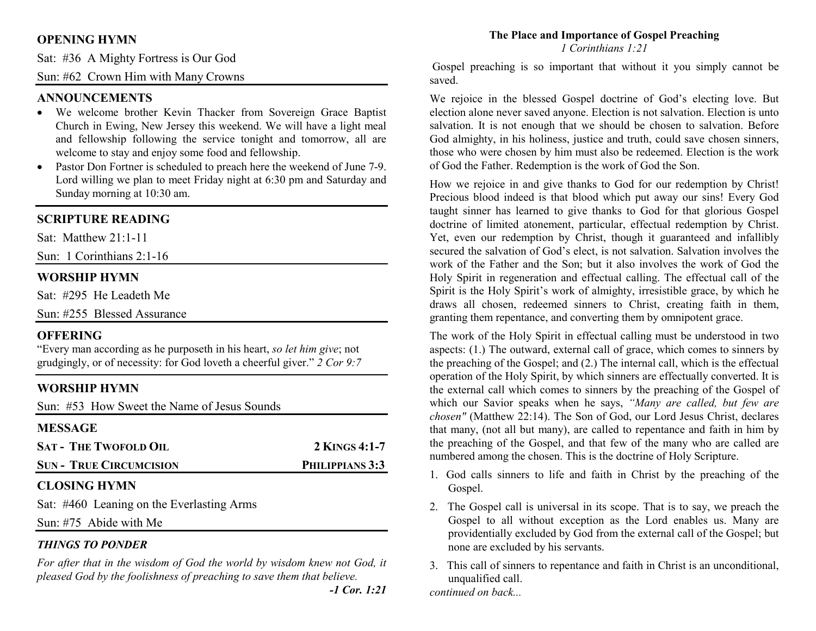#### **OPENING HYMN**

Sat: #36 A Mighty Fortress is Our God

Sun: #62 Crown Him with Many Crowns

#### **ANNOUNCEMENTS**

- We welcome brother Kevin Thacker from Sovereign Grace Baptist Church in Ewing, New Jersey this weekend. We will have a light meal and fellowship following the service tonight and tomorrow, all are welcome to stay and enjoy some food and fellowship.
- Pastor Don Fortner is scheduled to preach here the weekend of June 7-9. •Lord willing we plan to meet Friday night at 6:30 pm and Saturday and Sunday morning at 10:30 am.

# **SCRIPTURE READING**

Sat: Matthew 21:1-11

Sun: 1 Corinthians 2:1-16

## **WORSHIP HYMN**

Sat: #295 He Leadeth Me

Sun: #255 Blessed Assurance

## **OFFERING**

 "Every man according as he purposeth in his heart, *so let him give*; not grudgingly, or of necessity: for God loveth a cheerful giver." *2 Cor 9:7*

# **WORSHIP HYMN**

Sun: #53 How Sweet the Name of Jesus Sounds

### **MESSAGE**

| <b>SAT - THE TWOFOLD OIL</b>   | 2 KINGS 4:1-7   |
|--------------------------------|-----------------|
| <b>SUN - TRUE CIRCUMCISION</b> | PHILIPPIANS 3:3 |
|                                |                 |

## **CLOSING HYMN**

Sat: #460 Leaning on the Everlasting Arms

Sun: #75 Abide with Me

# *THINGS TO PONDER*

For after that in the wisdom of God the world by wisdom knew not God, it *pleased God by the foolishness of preaching to save them that believe.* 

*-1 Cor. 1:21* 

#### **The Place and Importance of Gospel Preaching***1 Corinthians 1:21*

 Gospel preaching is so important that without it you simply cannot be saved.

We rejoice in the blessed Gospel doctrine of God's electing love. But election alone never saved anyone. Election is not salvation. Election is unto salvation. It is not enough that we should be chosen to salvation. Before God almighty, in his holiness, justice and truth, could save chosen sinners, those who were chosen by him must also be redeemed. Election is the work of God the Father. Redemption is the work of God the Son.

How we rejoice in and give thanks to God for our redemption by Christ! Precious blood indeed is that blood which put away our sins! Every God taught sinner has learned to give thanks to God for that glorious Gospel doctrine of limited atonement, particular, effectual redemption by Christ. Yet, even our redemption by Christ, though it guaranteed and infallibly secured the salvation of God's elect, is not salvation. Salvation involves the work of the Father and the Son; but it also involves the work of God the Holy Spirit in regeneration and effectual calling. The effectual call of the Spirit is the Holy Spirit's work of almighty, irresistible grace, by which he draws all chosen, redeemed sinners to Christ, creating faith in them, granting them repentance, and converting them by omnipotent grace.

The work of the Holy Spirit in effectual calling must be understood in two aspects: (1.) The outward, external call of grace, which comes to sinners by the preaching of the Gospel; and (2.) The internal call, which is the effectual operation of the Holy Spirit, by which sinners are effectually converted. It is the external call which comes to sinners by the preaching of the Gospel of which our Savior speaks when he says, *"Many are called, but few are chosen"* (Matthew 22:14). The Son of God, our Lord Jesus Christ, declares that many, (not all but many), are called to repentance and faith in him by the preaching of the Gospel, and that few of the many who are called are numbered among the chosen. This is the doctrine of Holy Scripture.

- 1. God calls sinners to life and faith in Christ by the preaching of the Gospel.
- 2. The Gospel call is universal in its scope. That is to say, we preach the Gospel to all without exception as the Lord enables us. Many are providentially excluded by God from the external call of the Gospel; but none are excluded by his servants.
- 3. This call of sinners to repentance and faith in Christ is an unconditional, unqualified call.

*continued on back...*